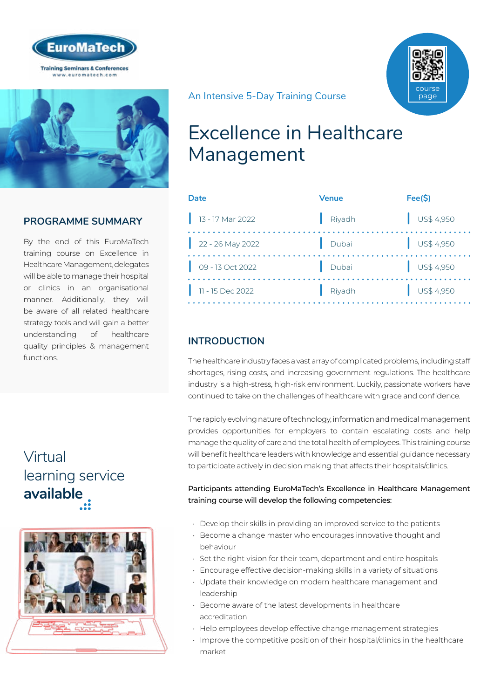



# **PROGRAMME SUMMARY**

By the end of this EuroMaTech training course on Excellence in Healthcare Management, delegates will be able to manage their hospital or clinics in an organisational manner. Additionally, they will be aware of all related healthcare strategy tools and will gain a better understanding of healthcare quality principles & management functions.

# Virtual [learning service](https://www.euromatech.com/seminars/excellence-in-health-care-management/)  **available**



course page

#### An Intensive 5-Day Training Course

# Excellence in Healthcare Management

| Date               | <b>Venue</b> | Fee(S)                   |
|--------------------|--------------|--------------------------|
| $13 - 17$ Mar 2022 | Riyadh       | $\bigcup$ US\$ 4,950     |
| $22 - 26$ May 2022 | Dubai        | $\bigcup$ US\$ 4,950     |
| 09 - 13 Oct 2022   | Dubai        | $\frac{1}{2}$ US\$ 4,950 |
| 11 - 15 Dec 2022   | Riyadh       | $\bigcup$ US\$ 4,950     |

# **INTRODUCTION**

The healthcare industry faces a vast array of complicated problems, including staff shortages, rising costs, and increasing government regulations. The healthcare industry is a high-stress, high-risk environment. Luckily, passionate workers have continued to take on the challenges of healthcare with grace and confidence.

The rapidly evolving nature of technology, information and medical management provides opportunities for employers to contain escalating costs and help manage the quality of care and the total health of employees. This training course will benefit healthcare leaders with knowledge and essential guidance necessary to participate actively in decision making that affects their hospitals/clinics.

#### Participants attending EuroMaTech's Excellence in Healthcare Management training course will develop the following competencies:

- Develop their skills in providing an improved service to the patients
- Become a change master who encourages innovative thought and behaviour
- Set the right vision for their team, department and entire hospitals
- Encourage effective decision-making skills in a variety of situations
- Update their knowledge on modern healthcare management and leadership
- Become aware of the latest developments in healthcare accreditation
- Help employees develop effective change management strategies
- Improve the competitive position of their hospital/clinics in the healthcare market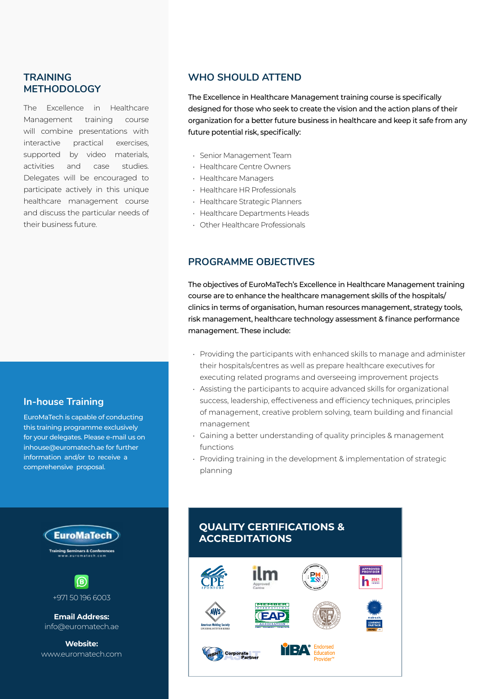## **TRAINING METHODOLOGY**

The Excellence in Healthcare Management training course will combine presentations with interactive practical exercises, supported by video materials, activities and case studies. Delegates will be encouraged to participate actively in this unique healthcare management course and discuss the particular needs of their business future.

## **In-house Training**

EuroMaTech is capable of conducting this training programme exclusively for your delegates. Please e-mail us on inhouse@euromatech.ae for further information and/or to receive a comprehensive proposal.

> **EuroMaTech ng Seminars & Confere**<br>ww.euromatech.com



**Email Address:** info@euromatech.ae

**Website:** www.euromatech.com

## **WHO SHOULD ATTEND**

The Excellence in Healthcare Management training course is specifically designed for those who seek to create the vision and the action plans of their organization for a better future business in healthcare and keep it safe from any future potential risk, specifically:

- Senior Management Team
- Healthcare Centre Owners
- Healthcare Managers
- Healthcare HR Professionals
- Healthcare Strategic Planners
- Healthcare Departments Heads
- Other Healthcare Professionals

## **PROGRAMME OBJECTIVES**

The objectives of EuroMaTech's Excellence in Healthcare Management training course are to enhance the healthcare management skills of the hospitals/ clinics in terms of organisation, human resources management, strategy tools, risk management, healthcare technology assessment & finance performance management. These include:

- Providing the participants with enhanced skills to manage and administer their hospitals/centres as well as prepare healthcare executives for executing related programs and overseeing improvement projects
- Assisting the participants to acquire advanced skills for organizational success, leadership, effectiveness and efficiency techniques, principles of management, creative problem solving, team building and financial management
- Gaining a better understanding of quality principles & management functions
- Providing training in the development & implementation of strategic planning

# **QUALITY CERTIFICATIONS & ACCREDITATIONS**

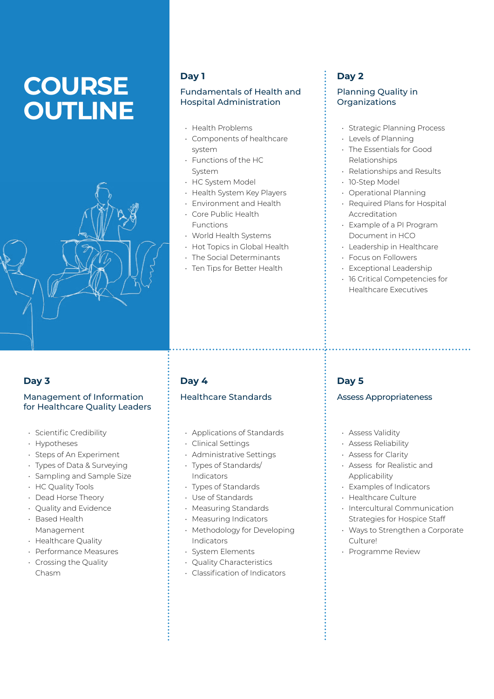# **COURSE OUTLINE**



#### **Day 1**

#### Fundamentals of Health and Hospital Administration

- Health Problems
- Components of healthcare system
- Functions of the HC System
- HC System Model
- Health System Key Players
- Environment and Health • Core Public Health
- Functions
- World Health Systems
- Hot Topics in Global Health
- The Social Determinants
- Ten Tips for Better Health

# **Day 2**

#### Planning Quality in **Organizations**

- Strategic Planning Process
- Levels of Planning
- The Essentials for Good Relationships
- Relationships and Results
- 10-Step Model
- Operational Planning
- Required Plans for Hospital Accreditation
- Example of a PI Program Document in HCO
- Leadership in Healthcare
- Focus on Followers
- Exceptional Leadership
- 16 Critical Competencies for Healthcare Executives

## **Day 3**

#### Management of Information for Healthcare Quality Leaders

- Scientific Credibility
- Hypotheses
- Steps of An Experiment
- Types of Data & Surveying
- Sampling and Sample Size
- HC Quality Tools
- Dead Horse Theory
- Quality and Evidence
- Based Health Management
- Healthcare Quality
- Performance Measures
- Crossing the Quality Chasm

# **Day 4**

#### Healthcare Standards

- Applications of Standards
- Clinical Settings
- Administrative Settings
- Types of Standards/ Indicators
- Types of Standards
- Use of Standards
- Measuring Standards
- Measuring Indicators
- Methodology for Developing Indicators
- System Elements
- Quality Characteristics
- Classification of Indicators

## **Day 5**

#### Assess Appropriateness

- Assess Validity
- Assess Reliability
- Assess for Clarity
- Assess for Realistic and Applicability
- Examples of Indicators
- Healthcare Culture
- Intercultural Communication Strategies for Hospice Staff
- Ways to Strengthen a Corporate Culture!
- Programme Review